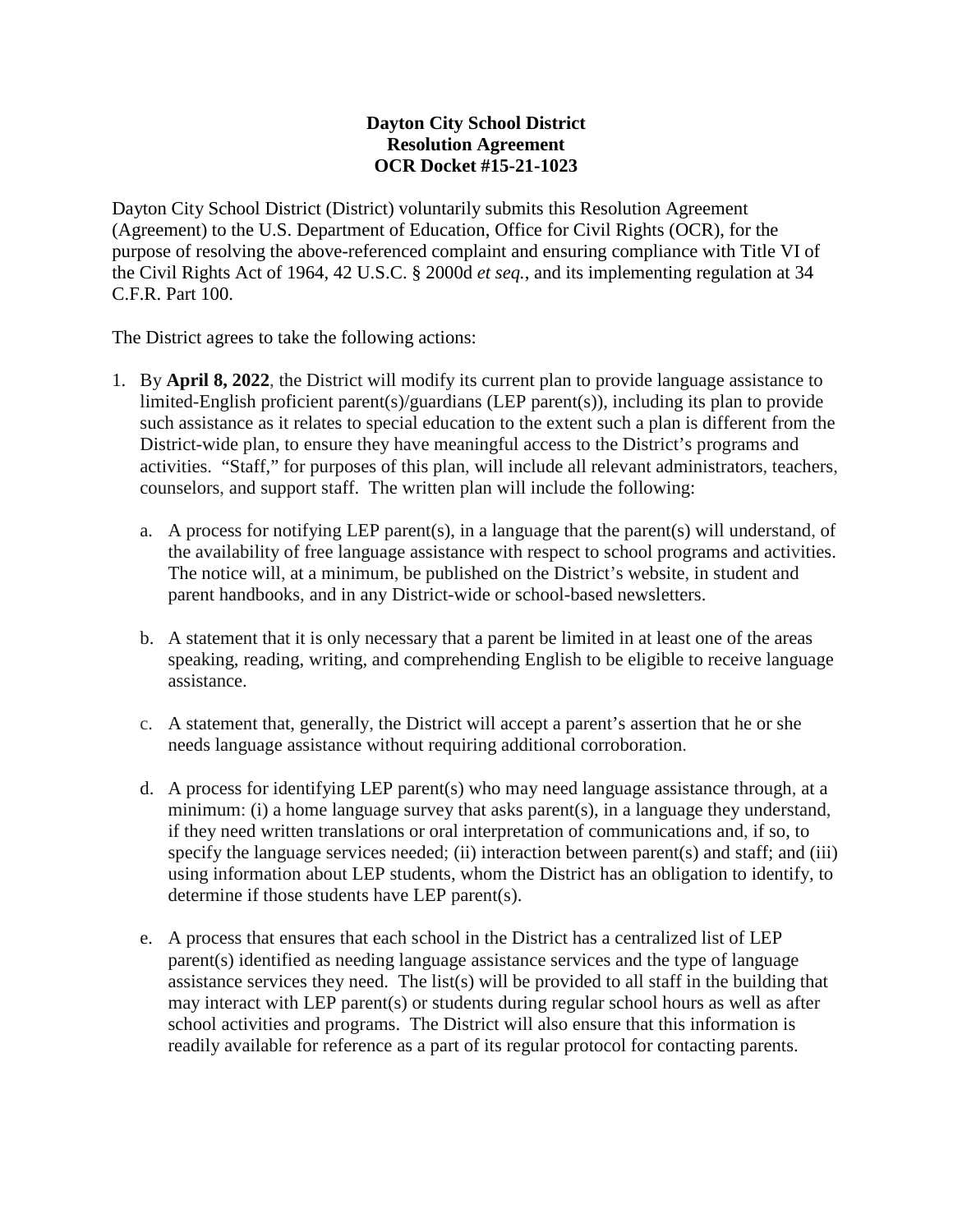## **Dayton City School District Resolution Agreement OCR Docket #15-21-1023**

Dayton City School District (District) voluntarily submits this Resolution Agreement (Agreement) to the U.S. Department of Education, Office for Civil Rights (OCR), for the purpose of resolving the above-referenced complaint and ensuring compliance with Title VI of the Civil Rights Act of 1964, 42 U.S.C. § 2000d *et seq.*, and its implementing regulation at 34 C.F.R. Part 100.

The District agrees to take the following actions:

- 1. By **April 8, 2022**, the District will modify its current plan to provide language assistance to limited-English proficient parent(s)/guardians (LEP parent(s)), including its plan to provide such assistance as it relates to special education to the extent such a plan is different from the District-wide plan, to ensure they have meaningful access to the District's programs and activities. "Staff," for purposes of this plan, will include all relevant administrators, teachers, counselors, and support staff. The written plan will include the following:
	- a. A process for notifying LEP parent(s), in a language that the parent(s) will understand, of the availability of free language assistance with respect to school programs and activities. The notice will, at a minimum, be published on the District's website, in student and parent handbooks, and in any District-wide or school-based newsletters.
	- b. A statement that it is only necessary that a parent be limited in at least one of the areas speaking, reading, writing, and comprehending English to be eligible to receive language assistance.
	- c. A statement that, generally, the District will accept a parent's assertion that he or she needs language assistance without requiring additional corroboration.
	- d. A process for identifying LEP parent(s) who may need language assistance through, at a minimum: (i) a home language survey that asks parent(s), in a language they understand, if they need written translations or oral interpretation of communications and, if so, to specify the language services needed; (ii) interaction between parent(s) and staff; and (iii) using information about LEP students, whom the District has an obligation to identify, to determine if those students have LEP parent(s).
	- e. A process that ensures that each school in the District has a centralized list of LEP parent(s) identified as needing language assistance services and the type of language assistance services they need. The list(s) will be provided to all staff in the building that may interact with LEP parent(s) or students during regular school hours as well as after school activities and programs. The District will also ensure that this information is readily available for reference as a part of its regular protocol for contacting parents.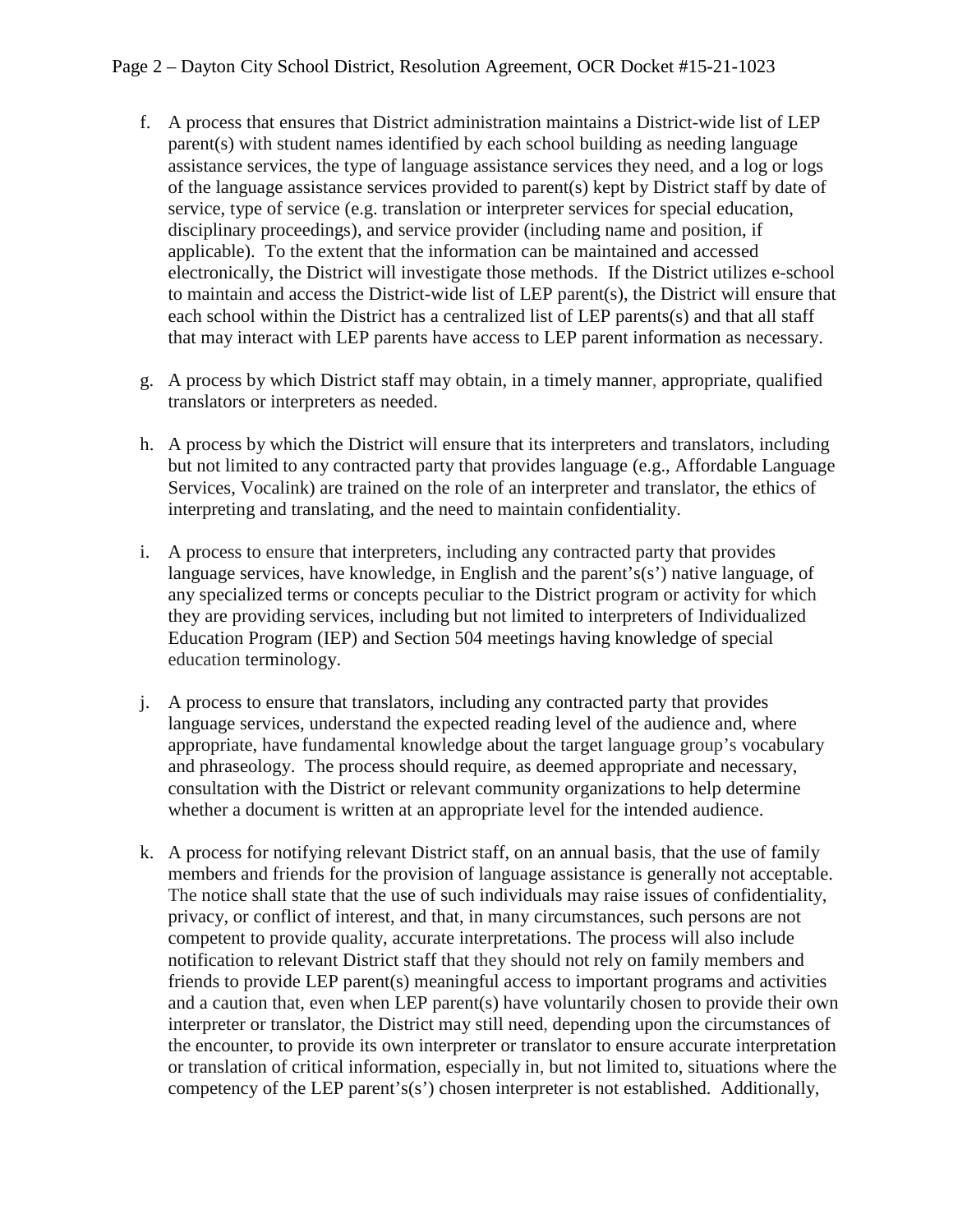- f. A process that ensures that District administration maintains a District-wide list of LEP parent(s) with student names identified by each school building as needing language assistance services, the type of language assistance services they need, and a log or logs of the language assistance services provided to parent(s) kept by District staff by date of service, type of service (e.g. translation or interpreter services for special education, disciplinary proceedings), and service provider (including name and position, if applicable). To the extent that the information can be maintained and accessed electronically, the District will investigate those methods. If the District utilizes e-school to maintain and access the District-wide list of LEP parent(s), the District will ensure that each school within the District has a centralized list of LEP parents(s) and that all staff that may interact with LEP parents have access to LEP parent information as necessary.
- g. A process by which District staff may obtain, in a timely manner, appropriate, qualified translators or interpreters as needed.
- h. A process by which the District will ensure that its interpreters and translators, including but not limited to any contracted party that provides language (e.g., Affordable Language Services, Vocalink) are trained on the role of an interpreter and translator, the ethics of interpreting and translating, and the need to maintain confidentiality.
- i. A process to ensure that interpreters, including any contracted party that provides language services, have knowledge, in English and the parent's(s') native language, of any specialized terms or concepts peculiar to the District program or activity for which they are providing services, including but not limited to interpreters of Individualized Education Program (IEP) and Section 504 meetings having knowledge of special education terminology.
- j. A process to ensure that translators, including any contracted party that provides language services, understand the expected reading level of the audience and, where appropriate, have fundamental knowledge about the target language group's vocabulary and phraseology. The process should require, as deemed appropriate and necessary, consultation with the District or relevant community organizations to help determine whether a document is written at an appropriate level for the intended audience.
- k. A process for notifying relevant District staff, on an annual basis, that the use of family members and friends for the provision of language assistance is generally not acceptable. The notice shall state that the use of such individuals may raise issues of confidentiality, privacy, or conflict of interest, and that, in many circumstances, such persons are not competent to provide quality, accurate interpretations. The process will also include notification to relevant District staff that they should not rely on family members and friends to provide LEP parent(s) meaningful access to important programs and activities and a caution that, even when LEP parent(s) have voluntarily chosen to provide their own interpreter or translator, the District may still need, depending upon the circumstances of the encounter, to provide its own interpreter or translator to ensure accurate interpretation or translation of critical information, especially in, but not limited to, situations where the competency of the LEP parent's(s') chosen interpreter is not established. Additionally,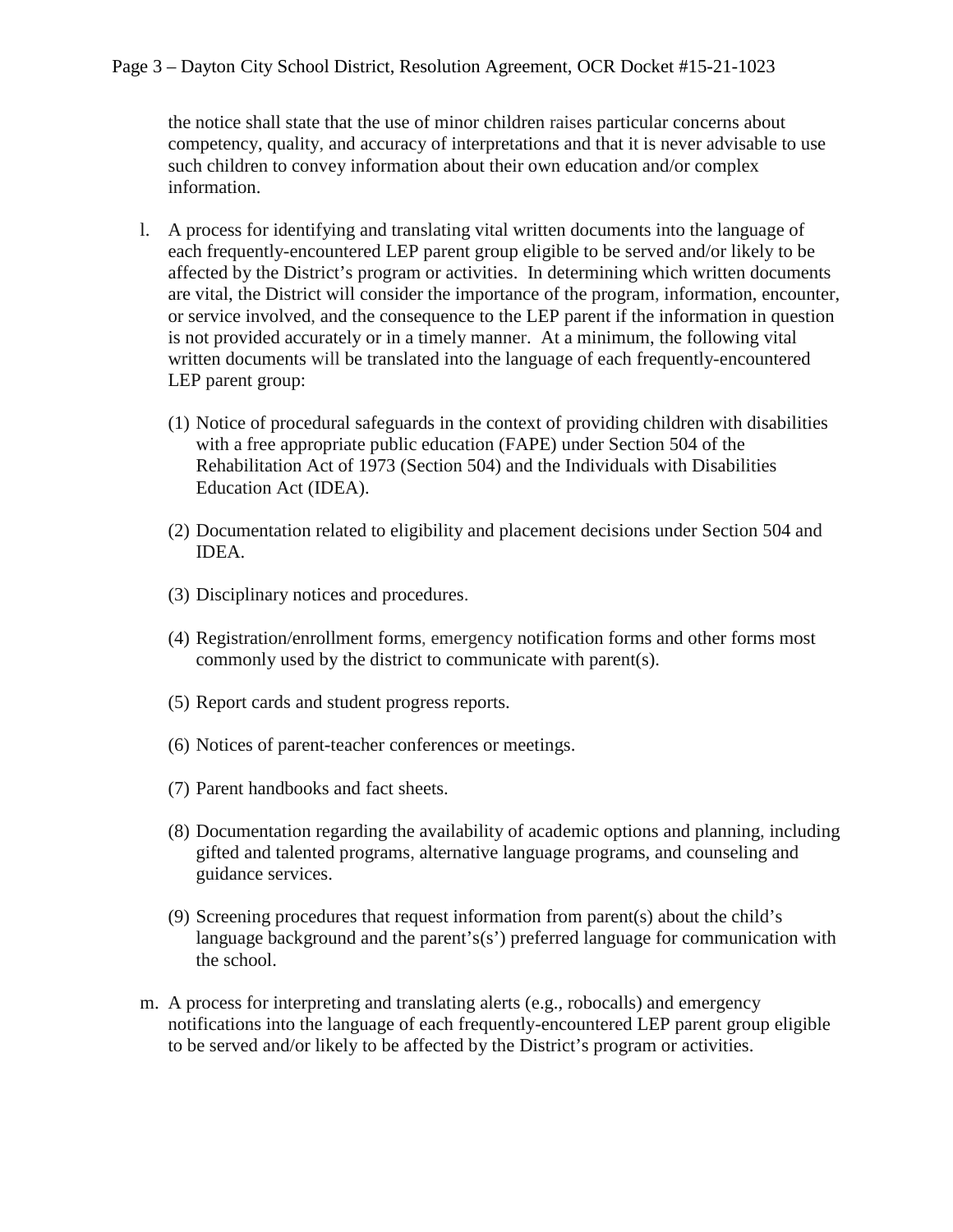the notice shall state that the use of minor children raises particular concerns about competency, quality, and accuracy of interpretations and that it is never advisable to use such children to convey information about their own education and/or complex information.

- l. A process for identifying and translating vital written documents into the language of each frequently-encountered LEP parent group eligible to be served and/or likely to be affected by the District's program or activities. In determining which written documents are vital, the District will consider the importance of the program, information, encounter, or service involved, and the consequence to the LEP parent if the information in question is not provided accurately or in a timely manner. At a minimum, the following vital written documents will be translated into the language of each frequently-encountered LEP parent group:
	- (1) Notice of procedural safeguards in the context of providing children with disabilities with a free appropriate public education (FAPE) under Section 504 of the Rehabilitation Act of 1973 (Section 504) and the Individuals with Disabilities Education Act (IDEA).
	- (2) Documentation related to eligibility and placement decisions under Section 504 and IDEA.
	- (3) Disciplinary notices and procedures.
	- (4) Registration/enrollment forms, emergency notification forms and other forms most commonly used by the district to communicate with parent(s).
	- (5) Report cards and student progress reports.
	- (6) Notices of parent-teacher conferences or meetings.
	- (7) Parent handbooks and fact sheets.
	- (8) Documentation regarding the availability of academic options and planning, including gifted and talented programs, alternative language programs, and counseling and guidance services.
	- (9) Screening procedures that request information from parent(s) about the child's language background and the parent's(s') preferred language for communication with the school.
- m. A process for interpreting and translating alerts (e.g., robocalls) and emergency notifications into the language of each frequently-encountered LEP parent group eligible to be served and/or likely to be affected by the District's program or activities.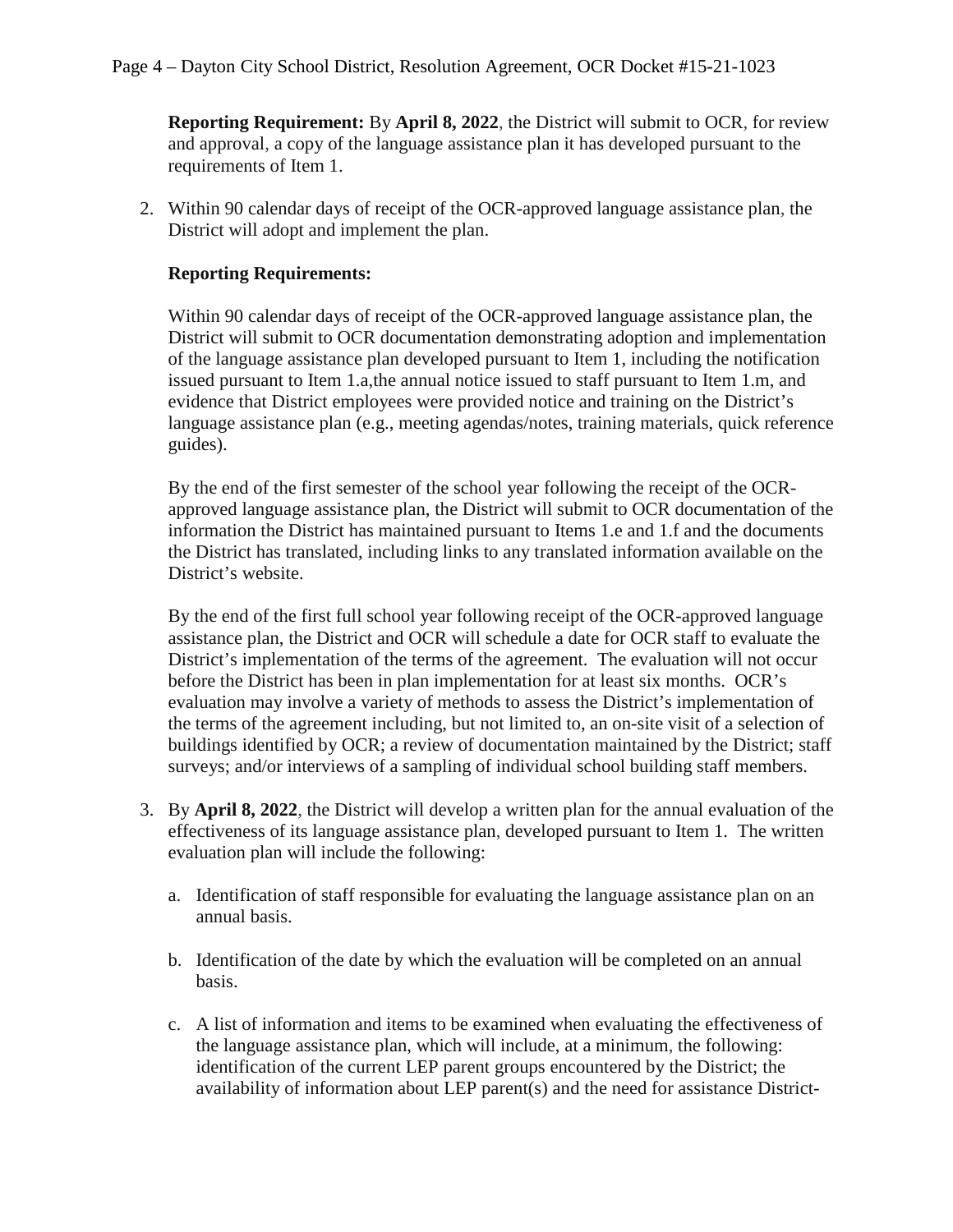**Reporting Requirement:** By **April 8, 2022**, the District will submit to OCR, for review and approval, a copy of the language assistance plan it has developed pursuant to the requirements of Item 1.

2. Within 90 calendar days of receipt of the OCR-approved language assistance plan, the District will adopt and implement the plan.

## **Reporting Requirements:**

Within 90 calendar days of receipt of the OCR-approved language assistance plan, the District will submit to OCR documentation demonstrating adoption and implementation of the language assistance plan developed pursuant to Item 1, including the notification issued pursuant to Item 1.a,the annual notice issued to staff pursuant to Item 1.m, and evidence that District employees were provided notice and training on the District's language assistance plan (e.g., meeting agendas/notes, training materials, quick reference guides).

By the end of the first semester of the school year following the receipt of the OCRapproved language assistance plan, the District will submit to OCR documentation of the information the District has maintained pursuant to Items 1.e and 1.f and the documents the District has translated, including links to any translated information available on the District's website.

By the end of the first full school year following receipt of the OCR-approved language assistance plan, the District and OCR will schedule a date for OCR staff to evaluate the District's implementation of the terms of the agreement. The evaluation will not occur before the District has been in plan implementation for at least six months. OCR's evaluation may involve a variety of methods to assess the District's implementation of the terms of the agreement including, but not limited to, an on-site visit of a selection of buildings identified by OCR; a review of documentation maintained by the District; staff surveys; and/or interviews of a sampling of individual school building staff members.

- 3. By **April 8, 2022**, the District will develop a written plan for the annual evaluation of the effectiveness of its language assistance plan, developed pursuant to Item 1. The written evaluation plan will include the following:
	- a. Identification of staff responsible for evaluating the language assistance plan on an annual basis.
	- b. Identification of the date by which the evaluation will be completed on an annual basis.
	- c. A list of information and items to be examined when evaluating the effectiveness of the language assistance plan, which will include, at a minimum, the following: identification of the current LEP parent groups encountered by the District; the availability of information about LEP parent(s) and the need for assistance District-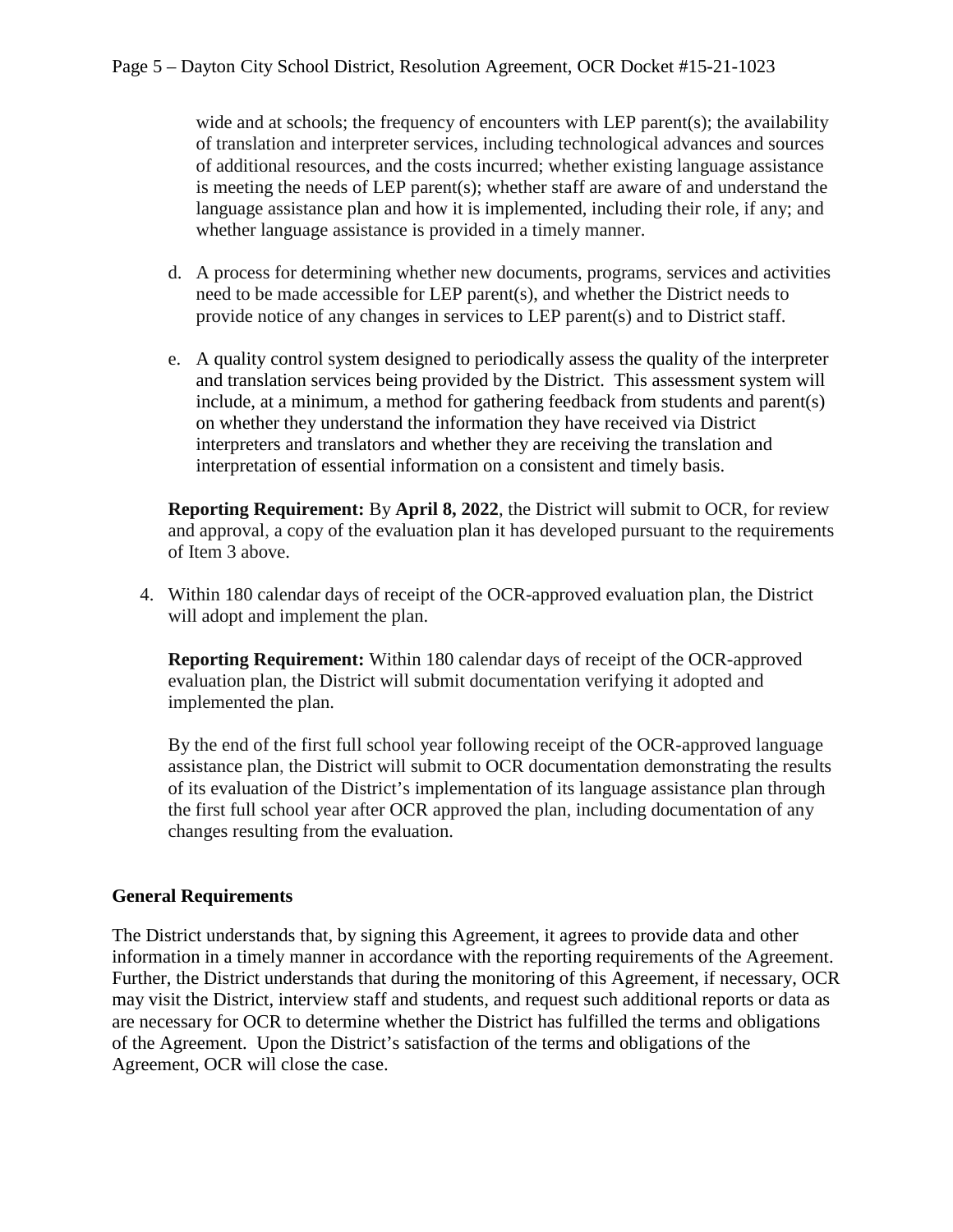wide and at schools; the frequency of encounters with LEP parent(s); the availability of translation and interpreter services, including technological advances and sources of additional resources, and the costs incurred; whether existing language assistance is meeting the needs of LEP parent(s); whether staff are aware of and understand the language assistance plan and how it is implemented, including their role, if any; and whether language assistance is provided in a timely manner.

- d. A process for determining whether new documents, programs, services and activities need to be made accessible for LEP parent(s), and whether the District needs to provide notice of any changes in services to LEP parent(s) and to District staff.
- e. A quality control system designed to periodically assess the quality of the interpreter and translation services being provided by the District. This assessment system will include, at a minimum, a method for gathering feedback from students and parent(s) on whether they understand the information they have received via District interpreters and translators and whether they are receiving the translation and interpretation of essential information on a consistent and timely basis.

**Reporting Requirement:** By **April 8, 2022**, the District will submit to OCR, for review and approval, a copy of the evaluation plan it has developed pursuant to the requirements of Item 3 above.

4. Within 180 calendar days of receipt of the OCR-approved evaluation plan, the District will adopt and implement the plan.

**Reporting Requirement:** Within 180 calendar days of receipt of the OCR-approved evaluation plan, the District will submit documentation verifying it adopted and implemented the plan.

By the end of the first full school year following receipt of the OCR-approved language assistance plan, the District will submit to OCR documentation demonstrating the results of its evaluation of the District's implementation of its language assistance plan through the first full school year after OCR approved the plan, including documentation of any changes resulting from the evaluation.

## **General Requirements**

The District understands that, by signing this Agreement, it agrees to provide data and other information in a timely manner in accordance with the reporting requirements of the Agreement. Further, the District understands that during the monitoring of this Agreement, if necessary, OCR may visit the District, interview staff and students, and request such additional reports or data as are necessary for OCR to determine whether the District has fulfilled the terms and obligations of the Agreement. Upon the District's satisfaction of the terms and obligations of the Agreement, OCR will close the case.